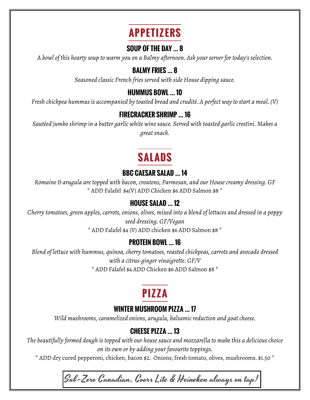# **APPETIZERS**

#### **SOUP OF THE DAY … 8**

*A bowl of this hearty soup to warm you on a Balmy afternoon. Ask your server for today's selection.*

#### **BALMY FRIES … 8**

*Seasoned classic French fries served with side House dipping sauce.*

#### **HUMMUS BOWL … 10**

*Fresh chickpea hummus is accompanied by toasted bread and crudité. A perfect way to start a meal. (V)*

#### **FIRECRACKER SHRIMP … 16**

*Sautéed jumbo shrimp in a butter garlic white wine sauce. Served with toasted garlic crostini. Makes a great snack.*

# **SALADS**

#### **BBC CAESAR SALAD … 14**

*Romaine & arugula are topped with bacon, croutons, Parmesan, and our House creamy dressing. GF* \* ADD Falafel \$4(V) ADD Chicken \$6 ADD Salmon \$8 \*

### **HOUSE SALAD … 12**

*Cherry tomatoes, green apples, carrots, onions, olives, mixed into a blend of lettuces and dressed in a poppy seed dressing. GF/Vegan*

\* ADD Falafel \$4 (V) ADD chicken \$6 ADD Salmon \$8 \*

### **PROTEIN BOWL … 16**

*Blend of lettuce with hummus, quinoa, cherry tomatoes, roasted chickpeas, carrots and avocado dressed with a citrus-ginger vinaigrette. GF/V*

\* ADD Falafel \$4 ADD Chicken \$6 ADD Salmon \$8 \*

# **PIZZA**

#### **WINTER MUSHROOM PIZZA … 17**

*Wild mushrooms, caramelized onions, arugula, balsamic reduction and goat cheese.*

## **CHEESE PIZZA … 13**

*The beautifully formed dough is topped with our house sauce and mozzarella to make this a delicious choice on its own or by adding your favourite toppings.*

\* ADD dry cured pepperoni, chicken, bacon \$2. Onions, fresh tomato, olives, mushrooms. \$1.50 \*

Sub-Zero Canadian, Coors Lite & Heineken always on tap!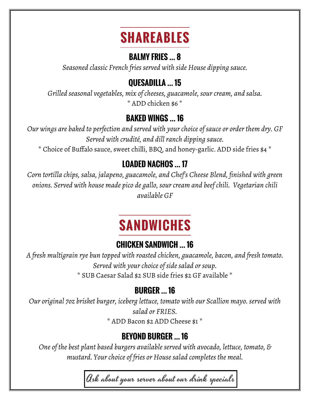# **SHAREABLES**

## **BALMY FRIES … 8**

*Seasoned classic French fries served with side House dipping sauce.*

# **QUESADILLA … 15**

*Grilled seasonal vegetables, mix of cheeses, guacamole, sour cream, and salsa.* \* ADD chicken \$6 \*

# **BAKED WINGS … 16**

*Our wings are baked to perfection and served with your choice of sauce or order them dry. GF Served with crudité, and dill ranch dipping sauce.*

\* Choice of Buffalo sauce, sweet chilli, BBQ, and honey-garlic. ADD side fries \$4 \*

# **LOADED NACHOS … 17**

*Corn tortilla chips, salsa, jalapeno, guacamole, and Chef's Cheese Blend, finished with green onions. Served with house made pico de gallo, sour cream and beef chili. Vegetarian chili available GF*

# **SANDWICHES**

# **CHICKEN SANDWICH … 16**

*A fresh multigrain rye bun topped with roasted chicken, guacamole, bacon, and fresh tomato. Served with your choice of side salad or soup.* \* SUB Caesar Salad \$2 SUB side fries \$2 GF available \*

## **BURGER … 16**

*Our original 7oz brisket burger, iceberg lettuce, tomato with our Scallion mayo. served with salad or FRIES.*

\* ADD Bacon \$2 ADD Cheese \$1 \*

# **BEYOND BURGER … 16**

*One of the best plant based burgers available served with avocado, lettuce, tomato, & mustard. Your choice of fries or House salad completes the meal.*

Ask about your server about our drink specials